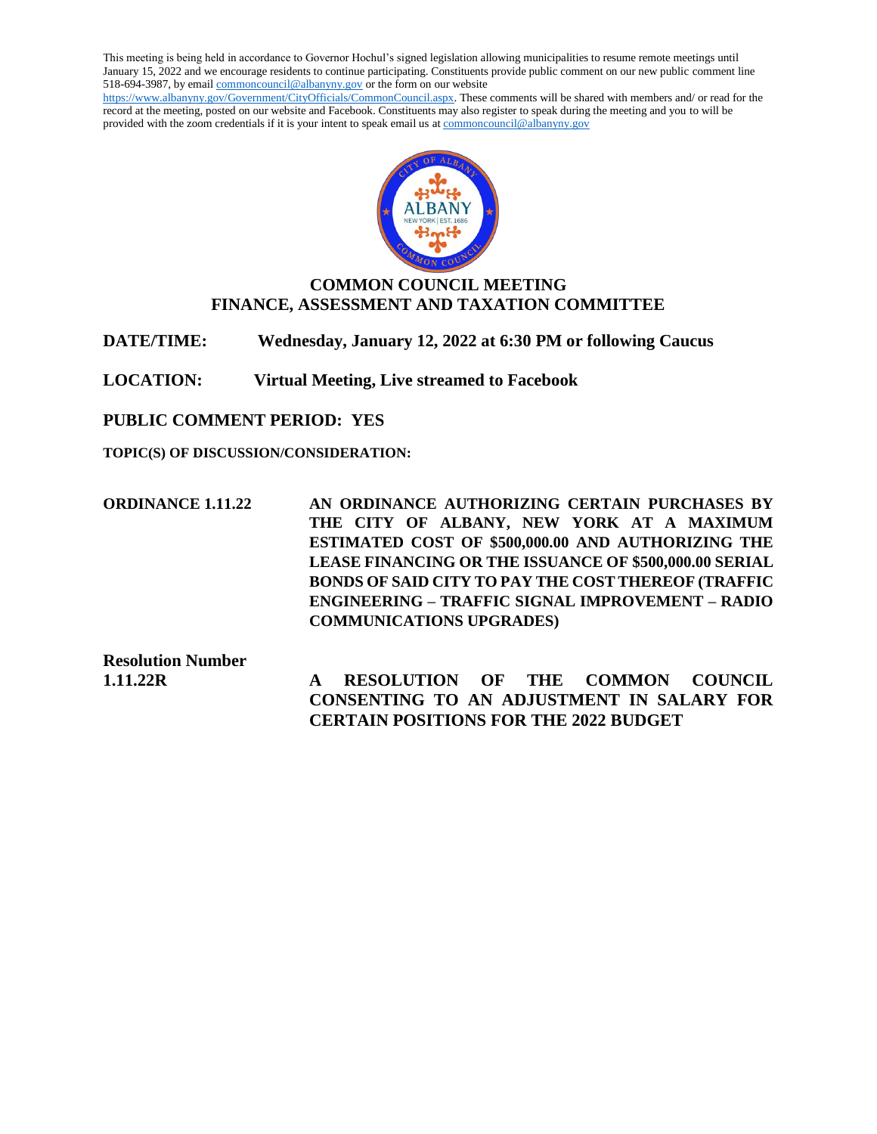This meeting is being held in accordance to Governor Hochul's signed legislation allowing municipalities to resume remote meetings until January 15, 2022 and we encourage residents to continue participating. Constituents provide public comment on our new public comment line 518-694-3987, by emai[l commoncouncil@albanyny.gov](mailto:commoncouncil@albanyny.gov) or the form on our website [https://www.albanyny.gov/Government/CityOfficials/CommonCouncil.aspx.](https://www.albanyny.gov/Government/CityOfficials/CommonCouncil.aspx) These comments will be shared with members and/ or read for the record at the meeting, posted on our website and Facebook. Constituents may also register to speak during the meeting and you to will be provided with the zoom credentials if it is your intent to speak email us a[t commoncouncil@albanyny.gov](mailto:commoncouncil@albanyny.gov)



# **COMMON COUNCIL MEETING FINANCE, ASSESSMENT AND TAXATION COMMITTEE**

**DATE/TIME: Wednesday, January 12, 2022 at 6:30 PM or following Caucus**

**LOCATION: Virtual Meeting, Live streamed to Facebook**

**PUBLIC COMMENT PERIOD: YES**

**TOPIC(S) OF DISCUSSION/CONSIDERATION:**

**ORDINANCE 1.11.22 AN ORDINANCE AUTHORIZING CERTAIN PURCHASES BY THE CITY OF ALBANY, NEW YORK AT A MAXIMUM ESTIMATED COST OF \$500,000.00 AND AUTHORIZING THE LEASE FINANCING OR THE ISSUANCE OF \$500,000.00 SERIAL BONDS OF SAID CITY TO PAY THE COST THEREOF (TRAFFIC ENGINEERING – TRAFFIC SIGNAL IMPROVEMENT – RADIO COMMUNICATIONS UPGRADES)**

**Resolution Number** 

**1.11.22R A RESOLUTION OF THE COMMON COUNCIL CONSENTING TO AN ADJUSTMENT IN SALARY FOR CERTAIN POSITIONS FOR THE 2022 BUDGET**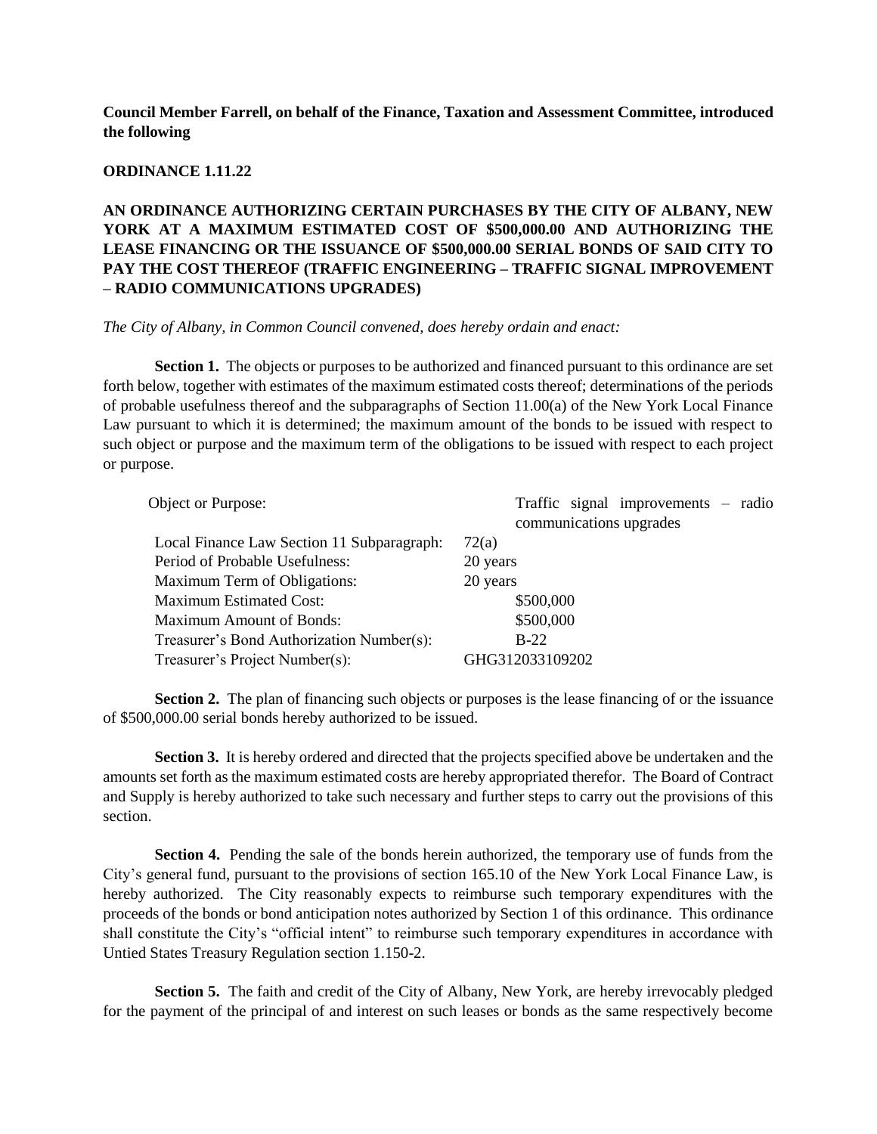**Council Member Farrell, on behalf of the Finance, Taxation and Assessment Committee, introduced the following**

#### **ORDINANCE 1.11.22**

**AN ORDINANCE AUTHORIZING CERTAIN PURCHASES BY THE CITY OF ALBANY, NEW YORK AT A MAXIMUM ESTIMATED COST OF \$500,000.00 AND AUTHORIZING THE LEASE FINANCING OR THE ISSUANCE OF \$500,000.00 SERIAL BONDS OF SAID CITY TO PAY THE COST THEREOF (TRAFFIC ENGINEERING – TRAFFIC SIGNAL IMPROVEMENT – RADIO COMMUNICATIONS UPGRADES)**

### *The City of Albany, in Common Council convened, does hereby ordain and enact:*

**Section 1.** The objects or purposes to be authorized and financed pursuant to this ordinance are set forth below, together with estimates of the maximum estimated costs thereof; determinations of the periods of probable usefulness thereof and the subparagraphs of Section 11.00(a) of the New York Local Finance Law pursuant to which it is determined; the maximum amount of the bonds to be issued with respect to such object or purpose and the maximum term of the obligations to be issued with respect to each project or purpose.

| Object or Purpose:                         | Traffic signal improvements $-$ radio<br>communications upgrades |
|--------------------------------------------|------------------------------------------------------------------|
| Local Finance Law Section 11 Subparagraph: | 72(a)                                                            |
| Period of Probable Usefulness:             | 20 years                                                         |
| <b>Maximum Term of Obligations:</b>        | 20 years                                                         |
| <b>Maximum Estimated Cost:</b>             | \$500,000                                                        |
| <b>Maximum Amount of Bonds:</b>            | \$500,000                                                        |
| Treasurer's Bond Authorization Number(s):  | $B-22$                                                           |
| Treasurer's Project Number(s):             | GHG312033109202                                                  |

**Section 2.** The plan of financing such objects or purposes is the lease financing of or the issuance of \$500,000.00 serial bonds hereby authorized to be issued.

**Section 3.** It is hereby ordered and directed that the projects specified above be undertaken and the amounts set forth as the maximum estimated costs are hereby appropriated therefor. The Board of Contract and Supply is hereby authorized to take such necessary and further steps to carry out the provisions of this section.

**Section 4.** Pending the sale of the bonds herein authorized, the temporary use of funds from the City's general fund, pursuant to the provisions of section 165.10 of the New York Local Finance Law, is hereby authorized. The City reasonably expects to reimburse such temporary expenditures with the proceeds of the bonds or bond anticipation notes authorized by Section 1 of this ordinance. This ordinance shall constitute the City's "official intent" to reimburse such temporary expenditures in accordance with Untied States Treasury Regulation section 1.150-2.

Section 5. The faith and credit of the City of Albany, New York, are hereby irrevocably pledged for the payment of the principal of and interest on such leases or bonds as the same respectively become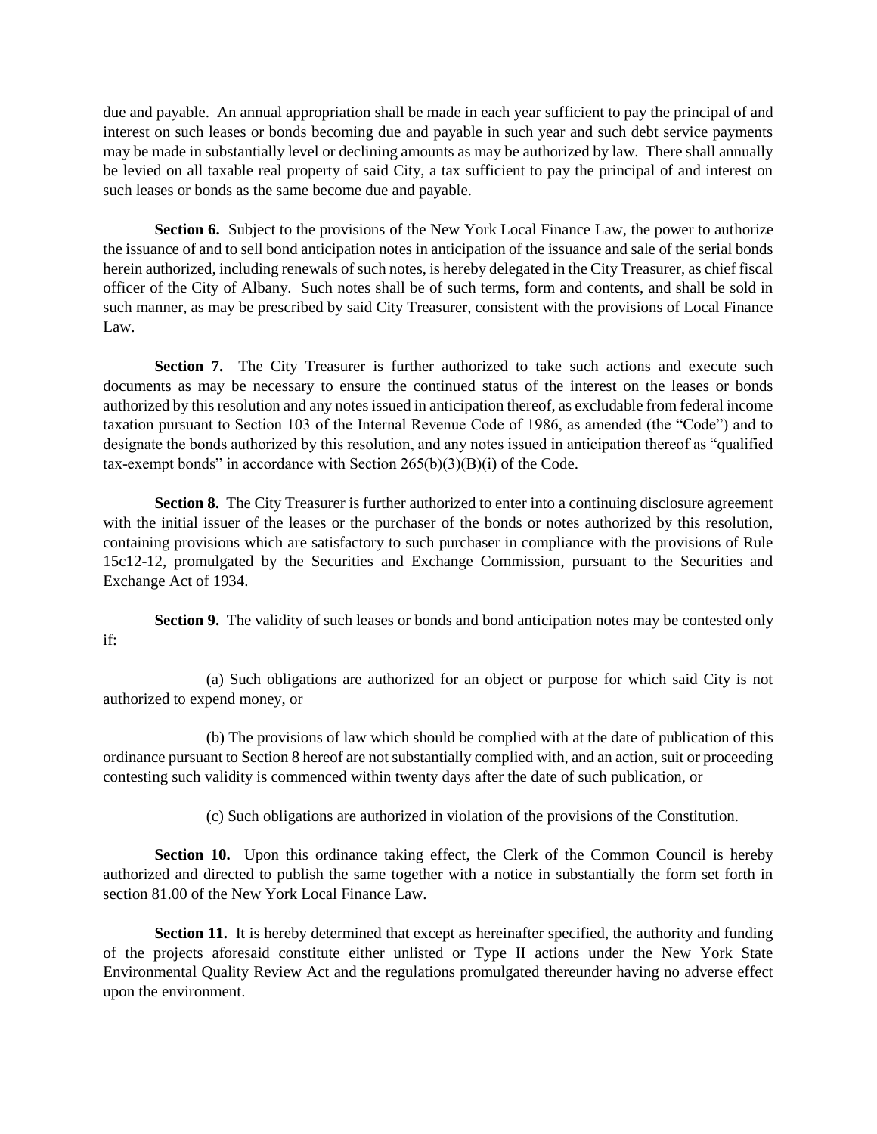due and payable. An annual appropriation shall be made in each year sufficient to pay the principal of and interest on such leases or bonds becoming due and payable in such year and such debt service payments may be made in substantially level or declining amounts as may be authorized by law. There shall annually be levied on all taxable real property of said City, a tax sufficient to pay the principal of and interest on such leases or bonds as the same become due and payable.

**Section 6.** Subject to the provisions of the New York Local Finance Law, the power to authorize the issuance of and to sell bond anticipation notes in anticipation of the issuance and sale of the serial bonds herein authorized, including renewals of such notes, is hereby delegated in the City Treasurer, as chief fiscal officer of the City of Albany. Such notes shall be of such terms, form and contents, and shall be sold in such manner, as may be prescribed by said City Treasurer, consistent with the provisions of Local Finance Law.

**Section 7.** The City Treasurer is further authorized to take such actions and execute such documents as may be necessary to ensure the continued status of the interest on the leases or bonds authorized by this resolution and any notes issued in anticipation thereof, as excludable from federal income taxation pursuant to Section 103 of the Internal Revenue Code of 1986, as amended (the "Code") and to designate the bonds authorized by this resolution, and any notes issued in anticipation thereof as "qualified tax-exempt bonds" in accordance with Section  $265(b)(3)(B)(i)$  of the Code.

**Section 8.** The City Treasurer is further authorized to enter into a continuing disclosure agreement with the initial issuer of the leases or the purchaser of the bonds or notes authorized by this resolution, containing provisions which are satisfactory to such purchaser in compliance with the provisions of Rule 15c12-12, promulgated by the Securities and Exchange Commission, pursuant to the Securities and Exchange Act of 1934.

**Section 9.** The validity of such leases or bonds and bond anticipation notes may be contested only if:

(a) Such obligations are authorized for an object or purpose for which said City is not authorized to expend money, or

(b) The provisions of law which should be complied with at the date of publication of this ordinance pursuant to Section 8 hereof are not substantially complied with, and an action, suit or proceeding contesting such validity is commenced within twenty days after the date of such publication, or

(c) Such obligations are authorized in violation of the provisions of the Constitution.

**Section 10.** Upon this ordinance taking effect, the Clerk of the Common Council is hereby authorized and directed to publish the same together with a notice in substantially the form set forth in section 81.00 of the New York Local Finance Law.

**Section 11.** It is hereby determined that except as hereinafter specified, the authority and funding of the projects aforesaid constitute either unlisted or Type II actions under the New York State Environmental Quality Review Act and the regulations promulgated thereunder having no adverse effect upon the environment.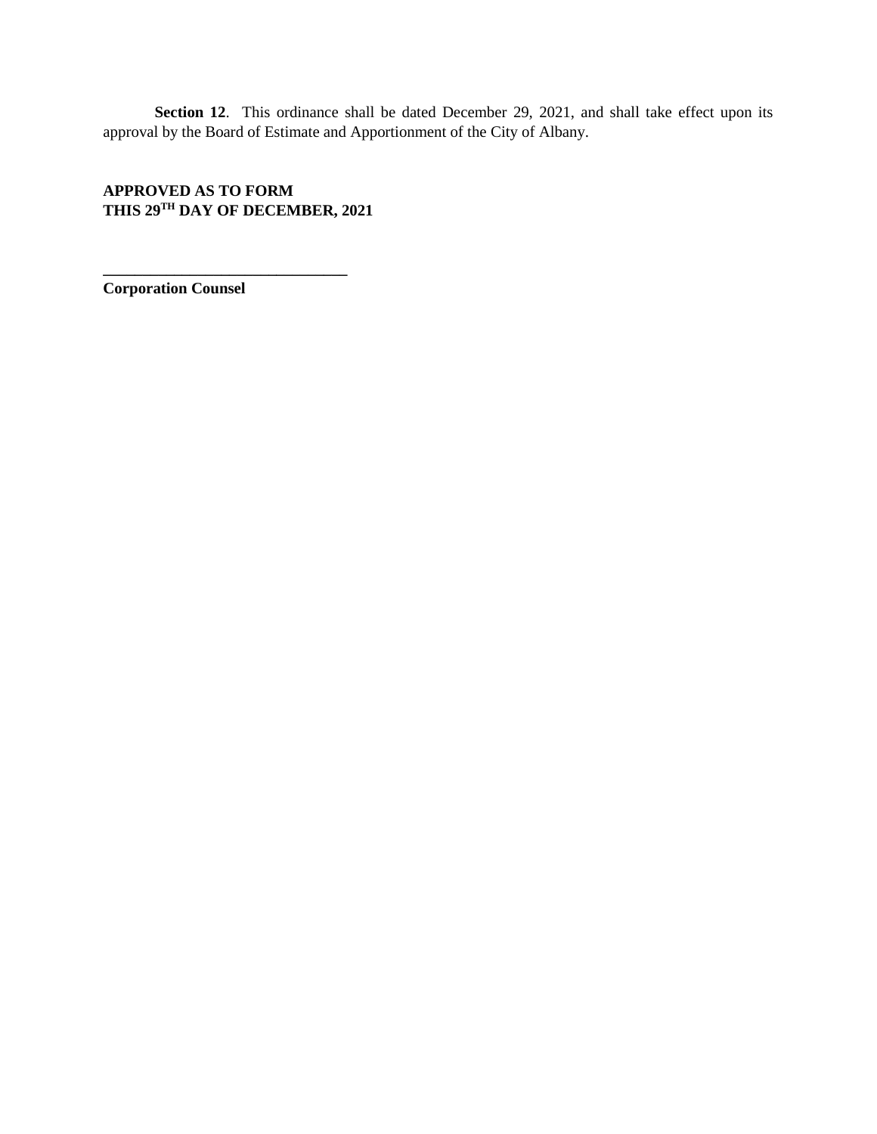Section 12. This ordinance shall be dated December 29, 2021, and shall take effect upon its approval by the Board of Estimate and Apportionment of the City of Albany.

# **APPROVED AS TO FORM THIS 29TH DAY OF DECEMBER, 2021**

**\_\_\_\_\_\_\_\_\_\_\_\_\_\_\_\_\_\_\_\_\_\_\_\_\_\_\_\_\_\_\_**

**Corporation Counsel**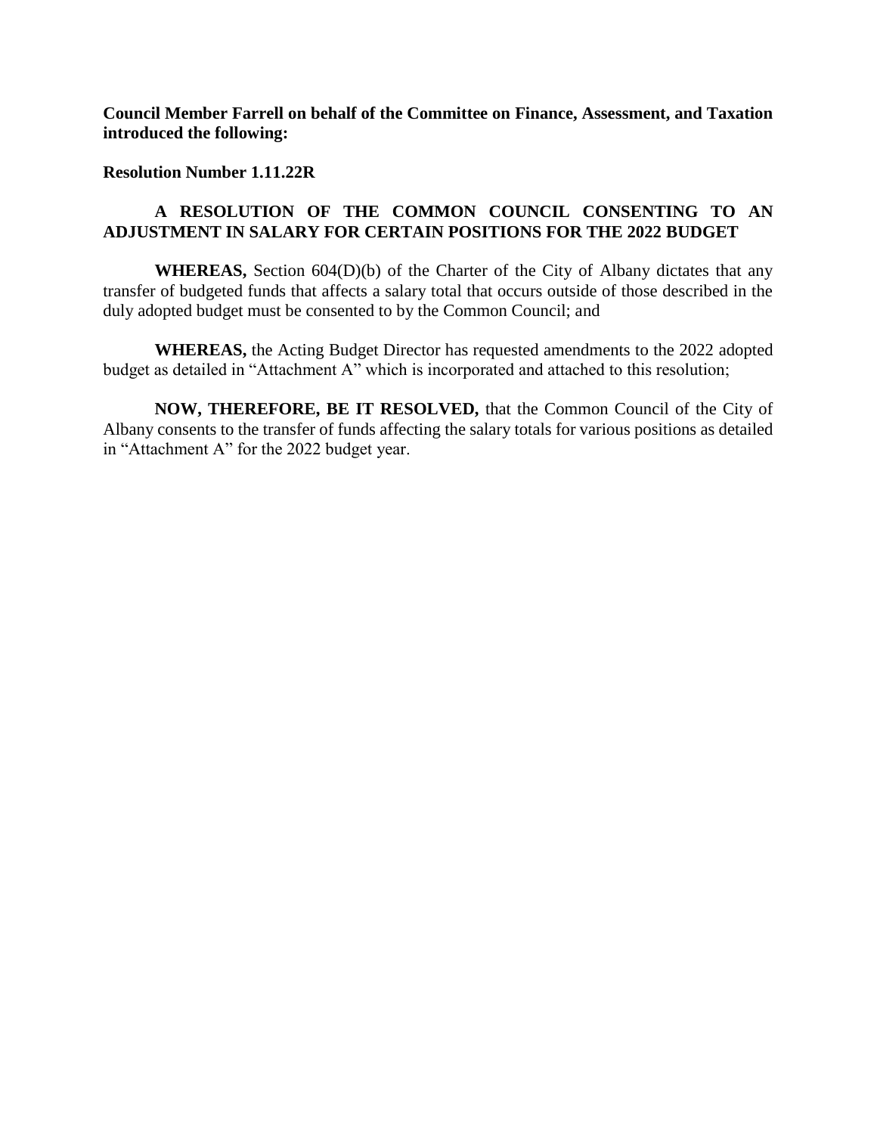**Council Member Farrell on behalf of the Committee on Finance, Assessment, and Taxation introduced the following:**

### **Resolution Number 1.11.22R**

# **A RESOLUTION OF THE COMMON COUNCIL CONSENTING TO AN ADJUSTMENT IN SALARY FOR CERTAIN POSITIONS FOR THE 2022 BUDGET**

**WHEREAS,** Section 604(D)(b) of the Charter of the City of Albany dictates that any transfer of budgeted funds that affects a salary total that occurs outside of those described in the duly adopted budget must be consented to by the Common Council; and

**WHEREAS,** the Acting Budget Director has requested amendments to the 2022 adopted budget as detailed in "Attachment A" which is incorporated and attached to this resolution;

**NOW, THEREFORE, BE IT RESOLVED,** that the Common Council of the City of Albany consents to the transfer of funds affecting the salary totals for various positions as detailed in "Attachment A" for the 2022 budget year.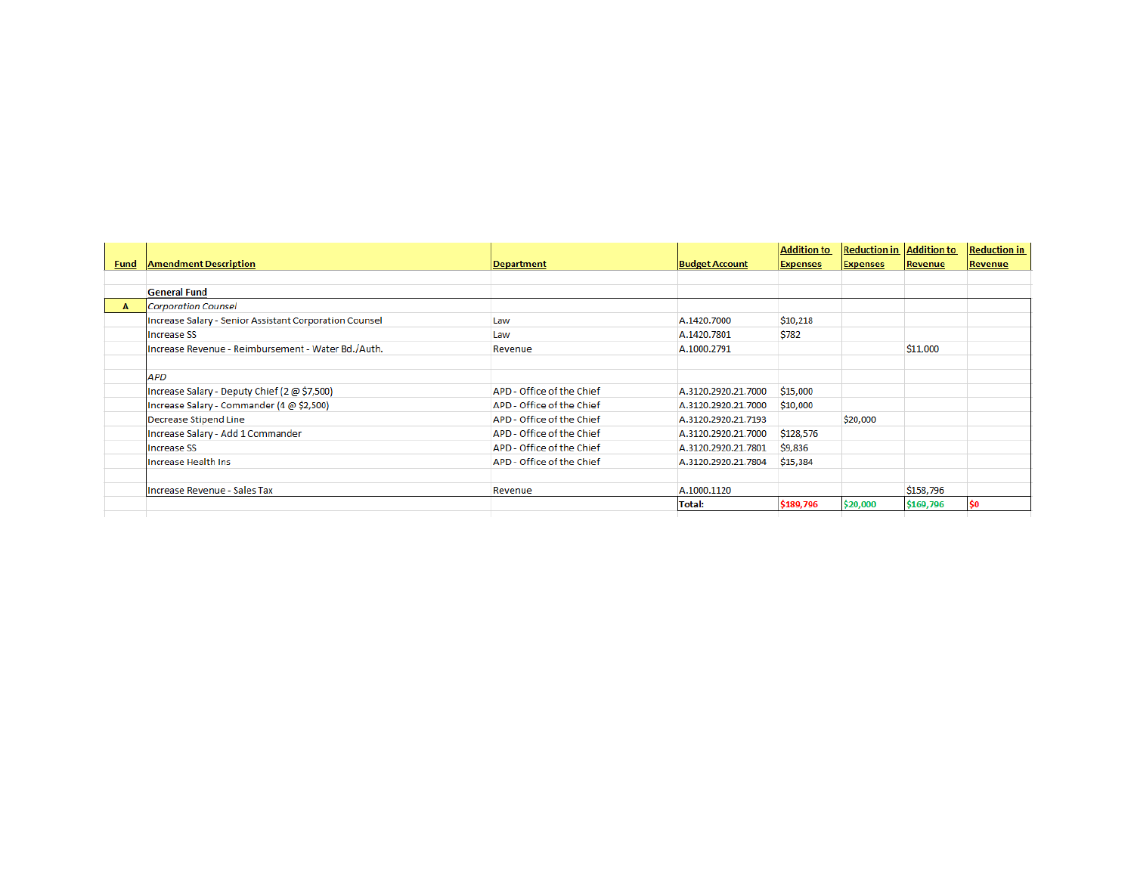| <b>Fund</b> | <b>Amendment Description</b>                           |                           |                       | <b>Addition to</b><br><b>Expenses</b> | <b>Reduction in Addition to</b><br><b>Expenses</b> | Revenue   | <b>Reduction in</b><br>Revenue |
|-------------|--------------------------------------------------------|---------------------------|-----------------------|---------------------------------------|----------------------------------------------------|-----------|--------------------------------|
|             |                                                        | <b>Department</b>         | <b>Budget Account</b> |                                       |                                                    |           |                                |
|             | <b>General Fund</b>                                    |                           |                       |                                       |                                                    |           |                                |
| A           | Corporation Counsel                                    |                           |                       |                                       |                                                    |           |                                |
|             | Increase Salary - Senior Assistant Corporation Counsel | Law                       | A.1420.7000           | \$10,218                              |                                                    |           |                                |
|             | <b>Increase SS</b>                                     | Law                       | A.1420.7801           | \$782                                 |                                                    |           |                                |
|             | Increase Revenue - Reimbursement - Water Bd./Auth.     | Revenue                   | A.1000.2791           |                                       |                                                    | \$11,000  |                                |
|             | APD                                                    |                           |                       |                                       |                                                    |           |                                |
|             | Increase Salary - Deputy Chief (2 @ \$7,500)           | APD - Office of the Chief | A.3120.2920.21.7000   | \$15,000                              |                                                    |           |                                |
|             | Increase Salary - Commander (4 @ \$2,500)              | APD - Office of the Chief | A.3120.2920.21.7000   | \$10,000                              |                                                    |           |                                |
|             | Decrease Stipend Line                                  | APD - Office of the Chief | A.3120.2920.21.7193   |                                       | \$20,000                                           |           |                                |
|             | Increase Salary - Add 1 Commander                      | APD - Office of the Chief | A.3120.2920.21.7000   | \$128,576                             |                                                    |           |                                |
|             | <b>Increase SS</b>                                     | APD - Office of the Chief | A.3120.2920.21.7801   | \$9,836                               |                                                    |           |                                |
|             | Increase Health Ins                                    | APD - Office of the Chief | A.3120.2920.21.7804   | \$15,384                              |                                                    |           |                                |
|             | Increase Revenue - Sales Tax                           | Revenue                   | A.1000.1120           |                                       |                                                    | \$158,796 |                                |
|             |                                                        |                           | Total:                | \$189,796                             | \$20,000                                           | \$169,796 | \$0                            |